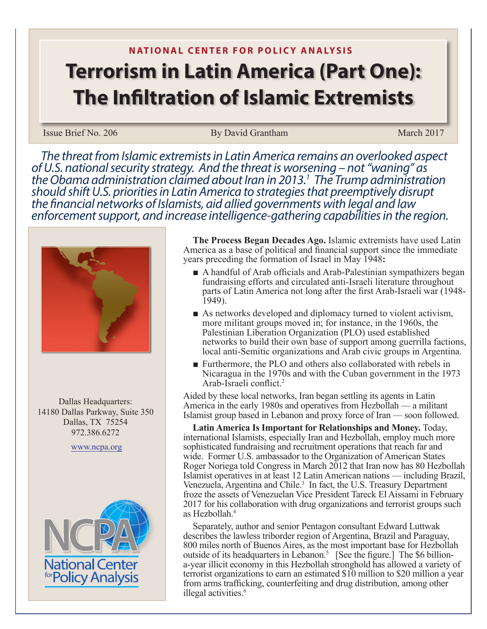## **N ATIONAL CENTER FOR POLICY ANALYSIS Terrorism in Latin America (Part One): The Infiltration of Islamic Extremists**

## Issue Brief No. 206 By David Grantham March 2017

*The threat from Islamic extremists in Latin America remains an overlooked aspect of U.S. national security strategy. And the threat is worsening – not "waning" as*  the Obama administration claimed about Iran in 2013.<sup>1</sup> The Trump administration  *The Trump administration should shift U.S. priorities in Latin America to strategies that preemptively disrupt the financial networks of Islamists, aid allied governments with legal and law enforcement support, and increase intelligence-gathering capabilities in the region.* 



Dallas Headquarters: 14180 Dallas Parkway, Suite 350 Dallas, TX 75254 972.386.6272

www.ncpa.org



**The Process Began Decades Ago.** Islamic extremists have used Latin America as a base of political and financial support since the immediate years preceding the formation of Israel in May 1948**:** 

- A handful of Arab officials and Arab-Palestinian sympathizers began fundraising efforts and circulated anti-Israeli literature throughout parts of Latin America not long after the first Arab-Israeli war (1948- 1949).
- As networks developed and diplomacy turned to violent activism, more militant groups moved in; for instance, in the 1960s, the Palestinian Liberation Organization (PLO) used established networks to build their own base of support among guerrilla factions, local anti-Semitic organizations and Arab civic groups in Argentina.
- Furthermore, the PLO and others also collaborated with rebels in Nicaragua in the 1970s and with the Cuban government in the 1973 Arab-Israeli conflict.<sup>2</sup>

Aided by these local networks, Iran began settling its agents in Latin America in the early 1980s and operatives from Hezbollah — a militant Islamist group based in Lebanon and proxy force of Iran — soon followed.

**Latin America Is Important for Relationships and Money.** Today, international Islamists, especially Iran and Hezbollah, employ much more sophisticated fundraising and recruitment operations that reach far and wide. Former U.S. ambassador to the Organization of American States Roger Noriega told Congress in March 2012 that Iran now has 80 Hezbollah Islamist operatives in at least 12 Latin American nations — including Brazil, Venezuela, Argentina and Chile.<sup>3</sup> In fact, the U.S. Treasury Department froze the assets of Venezuelan Vice President Tareck El Aissami in February 2017 for his collaboration with drug organizations and terrorist groups such as Hezbollah.<sup>4</sup>

Separately, author and senior Pentagon consultant Edward Luttwak describes the lawless triborder region of Argentina, Brazil and Paraguay, 800 miles north of Buenos Aires, as the most important base for Hezbollah outside of its headquarters in Lebanon.<sup>5</sup> [See the figure.] The \$6 billiona-year illicit economy in this Hezbollah stronghold has allowed a variety of terrorist organizations to earn an estimated \$10 million to \$20 million a year from arms trafficking, counterfeiting and drug distribution, among other illegal activities.<sup>6</sup>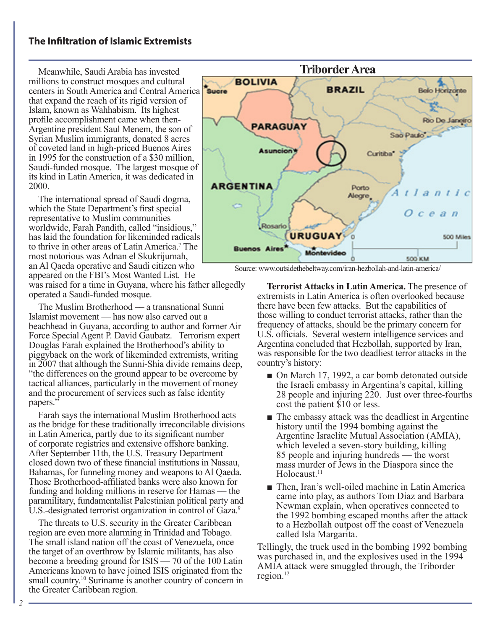## **The Infiltration of Islamic Extremists**

Meanwhile, Saudi Arabia has invested millions to construct mosques and cultural centers in South America and Central America that expand the reach of its rigid version of Islam, known as Wahhabism. Its highest profile accomplishment came when then-Argentine president Saul Menem, the son of Syrian Muslim immigrants, donated 8 acres of coveted land in high-priced Buenos Aires in 1995 for the construction of a \$30 million, Saudi-funded mosque. The largest mosque of its kind in Latin America, it was dedicated in 2000.

The international spread of Saudi dogma, which the State Department's first special representative to Muslim communities worldwide, Farah Pandith, called "insidious," has laid the foundation for likeminded radicals to thrive in other areas of Latin America.7 The most notorious was Adnan el Skukrijumah, an Al Qaeda operative and Saudi citizen who appeared on the FBI's Most Wanted List. He

was raised for a time in Guyana, where his father allegedly operated a Saudi-funded mosque.

The Muslim Brotherhood — a transnational Sunni Islamist movement — has now also carved out a beachhead in Guyana, according to author and former Air Force Special Agent P. David Gaubatz. Terrorism expert Douglas Farah explained the Brotherhood's ability to piggyback on the work of likeminded extremists, writing in 2007 that although the Sunni-Shia divide remains deep, "the differences on the ground appear to be overcome by tactical alliances, particularly in the movement of money and the procurement of services such as false identity papers.'

Farah says the international Muslim Brotherhood acts as the bridge for these traditionally irreconcilable divisions in Latin America, partly due to its significant number of corporate registries and extensive offshore banking. After September 11th, the U.S. Treasury Department closed down two of these financial institutions in Nassau, Bahamas, for funneling money and weapons to Al Qaeda. Those Brotherhood-affiliated banks were also known for funding and holding millions in reserve for Hamas — the paramilitary, fundamentalist Palestinian political party and U.S.-designated terrorist organization in control of Gaza.<sup>9</sup>

The threats to U.S. security in the Greater Caribbean region are even more alarming in Trinidad and Tobago. The small island nation off the coast of Venezuela, once the target of an overthrow by Islamic militants, has also become a breeding ground for ISIS — 70 of the 100 Latin Americans known to have joined ISIS originated from the small country.<sup>10</sup> Suriname is another country of concern in the Greater Caribbean region.



Source: www.outsidethebeltway.com/iran-hezbollah-and-latin-america/

**Terrorist Attacks in Latin America.** The presence of extremists in Latin America is often overlooked because there have been few attacks. But the capabilities of those willing to conduct terrorist attacks, rather than the frequency of attacks, should be the primary concern for U.S. officials. Several western intelligence services and Argentina concluded that Hezbollah, supported by Iran, was responsible for the two deadliest terror attacks in the country's history:

- On March 17, 1992, a car bomb detonated outside the Israeli embassy in Argentina's capital, killing 28 people and injuring 220. Just over three-fourths cost the patient \$10 or less.
- The embassy attack was the deadliest in Argentine history until the 1994 bombing against the Argentine Israelite Mutual Association (AMIA), which leveled a seven-story building, killing 85 people and injuring hundreds — the worst mass murder of Jews in the Diaspora since the Holocaust<sup>11</sup>
- Then, Iran's well-oiled machine in Latin America came into play, as authors Tom Diaz and Barbara Newman explain, when operatives connected to the 1992 bombing escaped months after the attack to a Hezbollah outpost off the coast of Venezuela called Isla Margarita.

Tellingly, the truck used in the bombing 1992 bombing was purchased in, and the explosives used in the 1994 AMIA attack were smuggled through, the Triborder region.<sup>12</sup>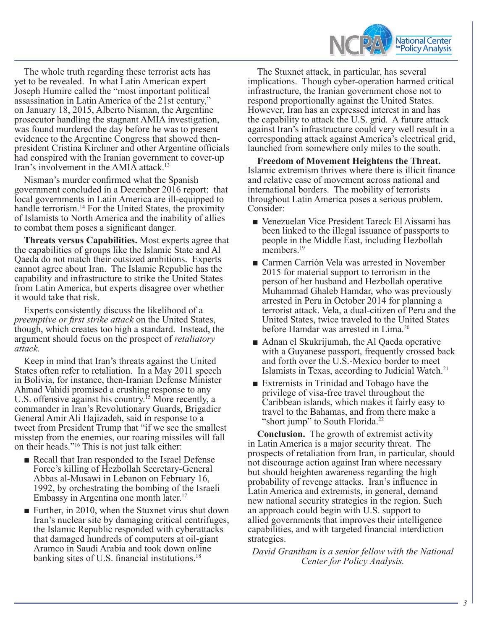

The whole truth regarding these terrorist acts has yet to be revealed. In what Latin American expert Joseph Humire called the "most important political assassination in Latin America of the 21st century," on January 18, 2015, Alberto Nisman, the Argentine prosecutor handling the stagnant AMIA investigation, was found murdered the day before he was to present evidence to the Argentine Congress that showed thenpresident Cristina Kirchner and other Argentine officials had conspired with the Iranian government to cover-up Iran's involvement in the AMIA attack.<sup>13</sup>

Nisman's murder confirmed what the Spanish government concluded in a December 2016 report: that local governments in Latin America are ill-equipped to handle terrorism.<sup>14</sup> For the United States, the proximity of Islamists to North America and the inability of allies to combat them poses a significant danger.

**Threats versus Capabilities.** Most experts agree that the capabilities of groups like the Islamic State and Al Qaeda do not match their outsized ambitions. Experts cannot agree about Iran. The Islamic Republic has the capability and infrastructure to strike the United States from Latin America, but experts disagree over whether it would take that risk.

Experts consistently discuss the likelihood of a *preemptive or first strike attack* on the United States, though, which creates too high a standard. Instead, the argument should focus on the prospect of *retaliatory attack.* 

Keep in mind that Iran's threats against the United States often refer to retaliation. In a May 2011 speech in Bolivia, for instance, then-Iranian Defense Minister Ahmad Vahidi promised a crushing response to any U.S. offensive against his country.<sup>15</sup> More recently, a commander in Iran's Revolutionary Guards, Brigadier General Amir Ali Hajizadeh, said in response to a tweet from President Trump that "if we see the smallest misstep from the enemies, our roaring missiles will fall on their heads."16 This is not just talk either:

- Recall that Iran responded to the Israel Defense Force's killing of Hezbollah Secretary-General Abbas al-Musawi in Lebanon on February 16, 1992, by orchestrating the bombing of the Israeli Embassy in Argentina one month later.<sup>17</sup>
- Further, in 2010, when the Stuxnet virus shut down Iran's nuclear site by damaging critical centrifuges, the Islamic Republic responded with cyberattacks that damaged hundreds of computers at oil-giant Aramco in Saudi Arabia and took down online banking sites of U.S. financial institutions.<sup>18</sup>

The Stuxnet attack, in particular, has several implications. Though cyber-operation harmed critical infrastructure, the Iranian government chose not to respond proportionally against the United States. However, Iran has an expressed interest in and has the capability to attack the U.S. grid. A future attack against Iran's infrastructure could very well result in a corresponding attack against America's electrical grid, launched from somewhere only miles to the south.

**Freedom of Movement Heightens the Threat.**  Islamic extremism thrives where there is illicit finance and relative ease of movement across national and international borders. The mobility of terrorists throughout Latin America poses a serious problem. Consider:

- Venezuelan Vice President Tareck El Aissami has been linked to the illegal issuance of passports to people in the Middle East, including Hezbollah members.<sup>19</sup>
- Carmen Carrión Vela was arrested in November 2015 for material support to terrorism in the person of her husband and Hezbollah operative Muhammad Ghaleb Hamdar, who was previously arrested in Peru in October 2014 for planning a terrorist attack. Vela, a dual-citizen of Peru and the United States, twice traveled to the United States before Hamdar was arrested in Lima.<sup>20</sup>
- Adnan el Skukrijumah, the Al Qaeda operative with a Guyanese passport, frequently crossed back and forth over the U.S.-Mexico border to meet Islamists in Texas, according to Judicial Watch.21
- Extremists in Trinidad and Tobago have the privilege of visa-free travel throughout the Caribbean islands, which makes it fairly easy to travel to the Bahamas, and from there make a "short jump" to South Florida.<sup>22</sup>

**Conclusion.** The growth of extremist activity in Latin America is a major security threat. The prospects of retaliation from Iran, in particular, should not discourage action against Iran where necessary but should heighten awareness regarding the high probability of revenge attacks. Iran's influence in Latin America and extremists, in general, demand new national security strategies in the region. Such an approach could begin with U.S. support to allied governments that improves their intelligence capabilities, and with targeted financial interdiction strategies.

*David Grantham is a senior fellow with the National Center for Policy Analysis.*

*3*